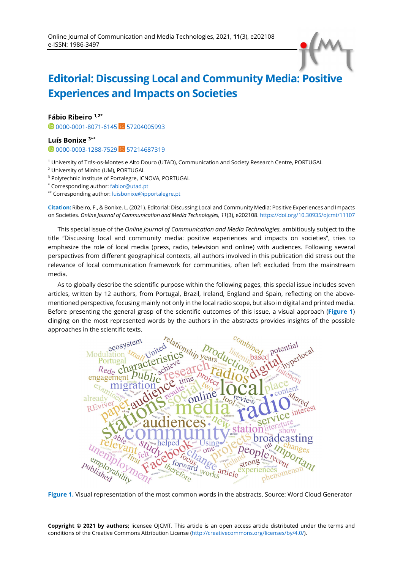## **Editorial: Discussing Local and Community Media: Positive Experiences and Impacts on Societies**

**Fábio Ribeiro 1,2\***

**1** [0000-0001-8071-6145](https://orcid.org/0000-0001-8071-6145) SC [57204005993](https://www.scopus.com/authid/detail.uri?authorId=57204005993)

**Luís Bonixe 3\*\***

<sup>0</sup>[0000-0003-1288-7529](https://orcid.org/0000-0003-1288-7529) SC [57214687319](https://www.scopus.com/authid/detail.uri?authorId=57214687319)

<sup>1</sup> University of Trás-os-Montes e Alto Douro (UTAD), Communication and Society Research Centre, PORTUGAL

<sup>2</sup> University of Minho (UM), PORTUGAL

<sup>3</sup> Polytechnic Institute of Portalegre, ICNOVA, PORTUGAL

\* Corresponding author: [fabior@utad.pt](mailto:fabior@utad.pt) 

\*\* Corresponding author: [luisbonixe@ipportalegre.pt](mailto:luisbonixe@ipportalegre.pt) 

**Citation:** Ribeiro, F., & Bonixe, L. (2021). Editorial: Discussing Local and Community Media: Positive Experiences and Impacts on Societies. *Online Journal of Communication and Media Technologies, 11*(3), e202108[. https://doi.org/10.30935/ojcmt/11107](https://doi.org/10.30935/ojcmt/11107)

This special issue of the *Online Journal of Communication and Media Technologies*, ambitiously subject to the title "Discussing local and community media: positive experiences and impacts on societies", tries to emphasize the role of local media (press, radio, television and online) with audiences. Following several perspectives from different geographical contexts, all authors involved in this publication did stress out the relevance of local communication framework for communities, often left excluded from the mainstream media.

As to globally describe the scientific purpose within the following pages, this special issue includes seven articles, written by 12 authors, from Portugal, Brazil, Ireland, England and Spain, reflecting on the abovementioned perspective, focusing mainly not only in the local radio scope, but also in digital and printed media. Before presenting the general grasp of the scientific outcomes of this issue, a visual approach (**Figure 1**) clinging on the most represented words by the authors in the abstracts provides insights of the possible approaches in the scientific texts.



**Figure 1.** Visual representation of the most common words in the abstracts. Source: Word Cloud Generator

**Copyright © 2021 by authors;** licensee OJCMT. This article is an open access article distributed under the terms and conditions of the Creative Commons Attribution License [\(http://creativecommons.org/licenses/by/4.0/\).](http://creativecommons.org/licenses/by/4.0/)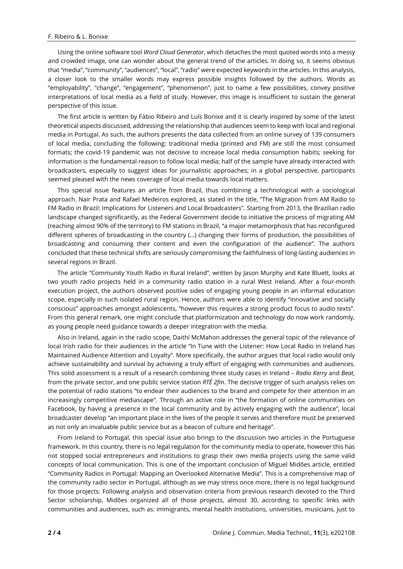Using the online software tool *Word Cloud Generator*, which detaches the most quoted words into a messy and crowded image, one can wonder about the general trend of the articles. In doing so, it seems obvious that "media", "community", "audiences", "local", "radio" were expected keywords in the articles. In this analysis, a closer look to the smaller words may express possible insights followed by the authors. Words as "employability", "change", "engagement", "phenomenon", just to name a few possibilities, convey positive interpretations of local media as a field of study. However, this image is insufficient to sustain the general perspective of this issue.

The first article is written by Fábio Ribeiro and Luís Bonixe and it is clearly inspired by some of the latest theoretical aspects discussed, addressing the relationship that audiences seem to keep with local and regional media in Portugal. As such, the authors presents the data collected from an online survey of 139 consumers of local media, concluding the following: traditional media (printed and FM) are still the most consumed formats; the covid-19 pandemic was not decisive to increase local media consumption habits; seeking for information is the fundamental reason to follow local media; half of the sample have already interacted with broadcasters, especially to suggest ideas for journalistic approaches; in a global perspective, participants seemed pleased with the news coverage of local media towards local matters.

This special issue features an article from Brazil, thus combining a technological with a sociological approach. Nair Prata and Rafael Medeiros explored, as stated in the title, "The Migration from AM Radio to FM Radio in Brazil: Implications for Listeners and Local Broadcasters". Starting from 2013, the Brazilian radio landscape changed significantly, as the Federal Government decide to initiative the process of migrating AM (reaching almost 90% of the territory) to FM stations in Brazil, "a major metamorphosis that has reconfigured different spheres of broadcasting in the country (…) changing their forms of production, the possibilities of broadcasting and consuming their content and even the configuration of the audience". The authors concluded that these technical shifts are seriously compromising the faithfulness of long-lasting audiences in several regions in Brazil.

The article "Community Youth Radio in Rural Ireland", written by Jason Murphy and Kate Bluett, looks at two youth radio projects held in a community radio station in a rural West Ireland. After a four-month execution project, the authors observed positive sides of engaging young people in an informal education scope, especially in such isolated rural region. Hence, authors were able to identify "innovative and socially conscious" approaches amongst adolescents, "however this requires a strong product focus to audio texts". From this general remark, one might conclude that platformization and technology do now work randomly, as young people need guidance towards a deeper integration with the media.

Also in Ireland, again in the radio scope, Daithí McMahon addresses the general topic of the relevance of local Irish radio for their audiences in the article "In Tune with the Listener: How Local Radio in Ireland has Maintained Audience Attention and Loyalty". More specifically, the author argues that local radio would only achieve sustainability and survival by achieving a truly effort of engaging with communities and audiences. This solid assessment is a result of a research combining three study cases in Ireland – *Radio Kerry* and *Beat*, from the private sector, and one public service station *RTÉ 2fm*. The decisive trigger of such analysis relies on the potential of radio stations "to endear their audiences to the brand and compete for their attention in an increasingly competitive mediascape". Through an active role in "the formation of online communities on Facebook, by having a presence in the local community and by actively engaging with the audience", local broadcaster develop "an important place in the lives of the people it serves and therefore must be preserved as not only an invaluable public service but as a beacon of culture and heritage".

From Ireland to Portugal, this special issue also brings to the discussion two articles in the Portuguese framework. In this country, there is no legal regulation for the community media to operate, however this has not stopped social entrepreneurs and institutions to grasp their own media projects using the same valid concepts of local communication. This is one of the important conclusion of Miguel Midões article, entitled "Community Radios in Portugal: Mapping an Overlooked Alternative Media". This is a comprehensive map of the community radio sector in Portugal, although as we may stress once more, there is no legal background for those projects. Following analysis and observation criteria from previous research devoted to the Third Sector scholarship, Midões organized all of those projects, almost 30, according to specific links with communities and audiences, such as: immigrants, mental health institutions, universities, musicians, just to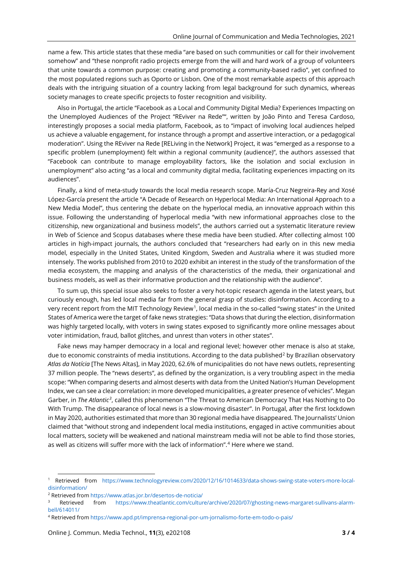name a few. This article states that these media "are based on such communities or call for their involvement somehow" and "these nonprofit radio projects emerge from the will and hard work of a group of volunteers that unite towards a common purpose: creating and promoting a community-based radio", yet confined to the most populated regions such as Oporto or Lisbon. One of the most remarkable aspects of this approach deals with the intriguing situation of a country lacking from legal background for such dynamics, whereas society manages to create specific projects to foster recognition and visibility.

Also in Portugal, the article "Facebook as a Local and Community Digital Media? Experiences Impacting on the Unemployed Audiences of the Project "REviver na Rede"", written by João Pinto and Teresa Cardoso, interestingly proposes a social media platform, Facebook, as to "impact of involving local audiences helped us achieve a valuable engagement, for instance through a prompt and assertive interaction, or a pedagogical moderation". Using the REviver na Rede [RELiving in the Network] Project, it was "emerged as a response to a specific problem (unemployment) felt within a regional community (audience)", the authors assessed that "Facebook can contribute to manage employability factors, like the isolation and social exclusion in unemployment" also acting "as a local and community digital media, facilitating experiences impacting on its audiences".

Finally, a kind of meta-study towards the local media research scope. María-Cruz Negreira-Rey and Xosé López-García present the article "A Decade of Research on Hyperlocal Media: An International Approach to a New Media Model", thus centering the debate on the hyperlocal media, an innovative approach within this issue. Following the understanding of hyperlocal media "with new informational approaches close to the citizenship, new organizational and business models", the authors carried out a systematic literature review in Web of Science and Scopus databases where these media have been studied. After collecting almost 100 articles in high-impact journals, the authors concluded that "researchers had early on in this new media model, especially in the United States, United Kingdom, Sweden and Australia where it was studied more intensely. The works published from 2010 to 2020 exhibit an interest in the study of the transformation of the media ecosystem, the mapping and analysis of the characteristics of the media, their organizational and business models, as well as their informative production and the relationship with the audience".

To sum up, this special issue also seeks to foster a very hot-topic research agenda in the latest years, but curiously enough, has led local media far from the general grasp of studies: disinformation. According to a very recent report from the MIT Technology Review[1,](#page-2-0) local media in the so-called "swing states" in the United States of America were the target of fake news strategies: "Data shows that during the election, disinformation was highly targeted locally, with voters in swing states exposed to significantly more online messages about voter intimidation, fraud, ballot glitches, and unrest than voters in other states".

Fake news may hamper democracy in a local and regional level; however other menace is also at stake, due to economic constraints of media institutions. According to the data published<sup>[2](#page-2-1)</sup> by Brazilian observatory *Atlas da Notícia* [The News Altas], in May 2020, 62.6% of municipalities do not have news outlets, representing 37 million people. The "news deserts", as defined by the organization, is a very troubling aspect in the media scope: "When comparing deserts and almost deserts with data from the United Nation's Human Development Index, we can see a clear correlation: in more developed municipalities, a greater presence of vehicles". Megan Garber, in *The Atlantic[3](#page-2-2)*, called this phenomenon "The Threat to American Democracy That Has Nothing to Do With Trump. The disappearance of local news is a slow-moving disaster". In Portugal, after the first lockdown in May 2020, authorities estimated that more than 30 regional media have disappeared. The Journalists' Union claimed that "without strong and independent local media institutions, engaged in active communities about local matters, society will be weakened and national mainstream media will not be able to find those stories, as well as citizens will suffer more with the lack of information". [4](#page-2-3) Here where we stand.

<span id="page-2-0"></span><sup>1</sup> Retrieved from [https://www.technologyreview.com/2020/12/16/1014633/data-shows-swing-state-voters-more-local](https://www.technologyreview.com/2020/12/16/1014633/data-shows-swing-state-voters-more-local-disinformation/)[disinformation/](https://www.technologyreview.com/2020/12/16/1014633/data-shows-swing-state-voters-more-local-disinformation/)

<span id="page-2-1"></span><sup>2</sup> Retrieved from <https://www.atlas.jor.br/desertos-de-noticia/>

<span id="page-2-2"></span>Retrieved from [https://www.theatlantic.com/culture/archive/2020/07/ghosting-news-margaret-sullivans-alarm](https://www.theatlantic.com/culture/archive/2020/07/ghosting-news-margaret-sullivans-alarm-bell/614011/)[bell/614011/](https://www.theatlantic.com/culture/archive/2020/07/ghosting-news-margaret-sullivans-alarm-bell/614011/)

<span id="page-2-3"></span><sup>4</sup> Retrieved from <https://www.apd.pt/imprensa-regional-por-um-jornalismo-forte-em-todo-o-pais/>